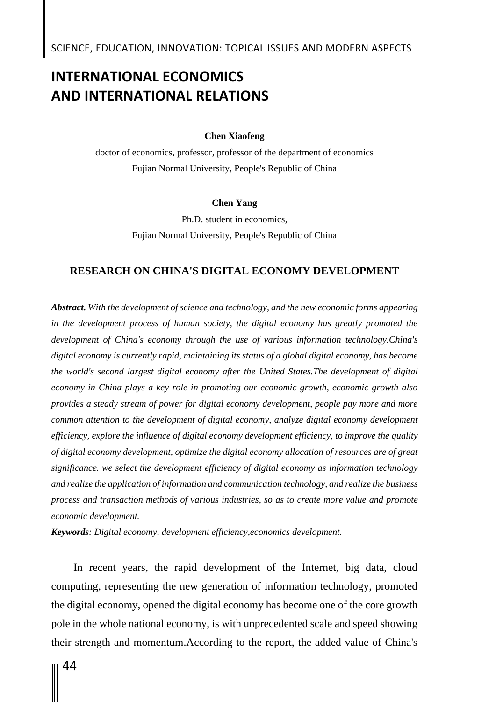# **INTERNATIONAL ECONOMICS AND INTERNATIONAL RELATIONS**

### **Chen Хiaofeng**

doctor of economics, professor, professor of the department of economics Fujian Normal University, People's Republic of China

### **Chen Yang**

Ph.D. student in economics, Fujian Normal University, People's Republic of China

### **RESEARCH ON CHINA'S DIGITAL ECONOMY DEVELOPMENT**

*Abstract. With the development of science and technology, and the new economic forms appearing in the development process of human society, the digital economy has greatly promoted the development of China's economy through the use of various information technology.China's digital economy is currently rapid, maintaining its status of a global digital economy, has become the world's second largest digital economy after the United States.The development of digital economy in China plays a key role in promoting our economic growth, economic growth also provides a steady stream of power for digital economy development, people pay more and more common attention to the development of digital economy, analyze digital economy development efficiency, explore the influence of digital economy development efficiency, to improve the quality of digital economy development, optimize the digital economy allocation of resources are of great significance. we select the development efficiency of digital economy as information technology and realize the application of information and communication technology, and realize the business process and transaction methods of various industries, so as to create more value and promote economic development.*

*Keywords: Digital economy, development efficiency,economics development.*

In recent years, the rapid development of the Internet, big data, cloud computing, representing the new generation of information technology, promoted the digital economy, opened the digital economy has become one of the core growth pole in the whole national economy, is with unprecedented scale and speed showing their strength and momentum.According to the report, the added value of China's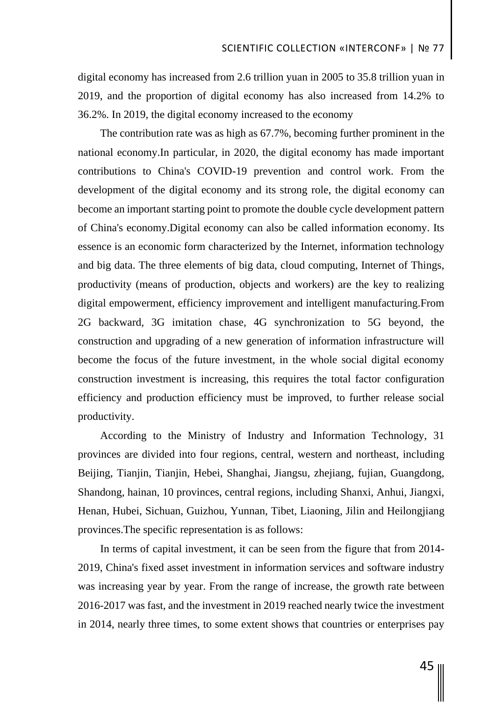digital economy has increased from 2.6 trillion yuan in 2005 to 35.8 trillion yuan in 2019, and the proportion of digital economy has also increased from 14.2% to 36.2%. In 2019, the digital economy increased to the economy

The contribution rate was as high as 67.7%, becoming further prominent in the national economy.In particular, in 2020, the digital economy has made important contributions to China's COVID-19 prevention and control work. From the development of the digital economy and its strong role, the digital economy can become an important starting point to promote the double cycle development pattern of China's economy.Digital economy can also be called information economy. Its essence is an economic form characterized by the Internet, information technology and big data. The three elements of big data, cloud computing, Internet of Things, productivity (means of production, objects and workers) are the key to realizing digital empowerment, efficiency improvement and intelligent manufacturing.From 2G backward, 3G imitation chase, 4G synchronization to 5G beyond, the construction and upgrading of a new generation of information infrastructure will become the focus of the future investment, in the whole social digital economy construction investment is increasing, this requires the total factor configuration efficiency and production efficiency must be improved, to further release social productivity.

According to the Ministry of Industry and Information Technology, 31 provinces are divided into four regions, central, western and northeast, including Beijing, Tianjin, Tianjin, Hebei, Shanghai, Jiangsu, zhejiang, fujian, Guangdong, Shandong, hainan, 10 provinces, central regions, including Shanxi, Anhui, Jiangxi, Henan, Hubei, Sichuan, Guizhou, Yunnan, Tibet, Liaoning, Jilin and Heilongjiang provinces.The specific representation is as follows:

In terms of capital investment, it can be seen from the figure that from 2014- 2019, China's fixed asset investment in information services and software industry was increasing year by year. From the range of increase, the growth rate between 2016-2017 was fast, and the investment in 2019 reached nearly twice the investment in 2014, nearly three times, to some extent shows that countries or enterprises pay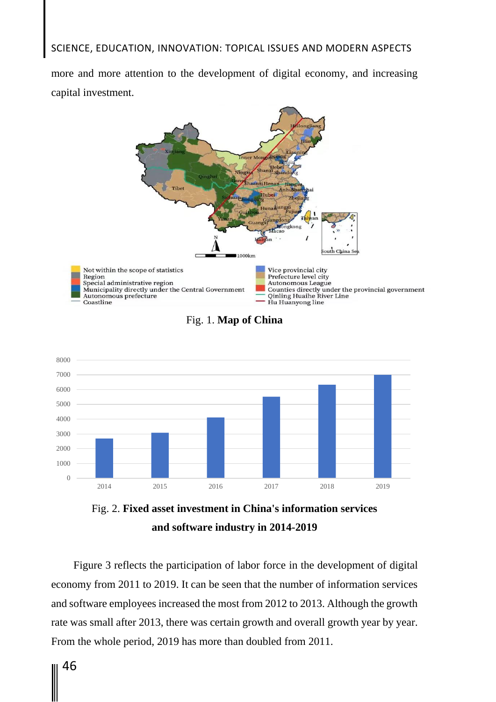## SCIENCE, EDUCATION, INNOVATION: TOPICAL ISSUES AND MODERN ASPECTS

more and more attention to the development of digital economy, and increasing capital investment.









Figure 3 reflects the participation of labor force in the development of digital economy from 2011 to 2019. It can be seen that the number of information services and software employees increased the most from 2012 to 2013. Although the growth rate was small after 2013, there was certain growth and overall growth year by year. From the whole period, 2019 has more than doubled from 2011.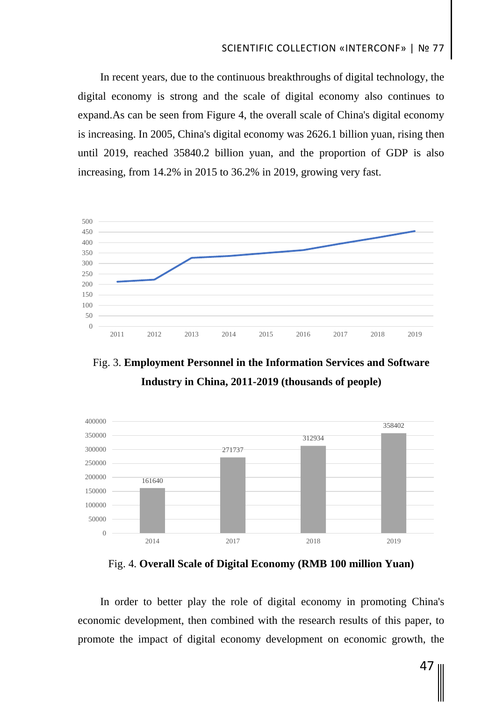# SCIENTIFIC COLLECTION «INTERCONF» | № 77

In recent years, due to the continuous breakthroughs of digital technology, the digital economy is strong and the scale of digital economy also continues to expand.As can be seen from Figure 4, the overall scale of China's digital economy is increasing. In 2005, China's digital economy was 2626.1 billion yuan, rising then until 2019, reached 35840.2 billion yuan, and the proportion of GDP is also increasing, from 14.2% in 2015 to 36.2% in 2019, growing very fast.



Fig. 3. **Employment Personnel in the Information Services and Software Industry in China, 2011-2019 (thousands of people)**



Fig. 4. **Overall Scale of Digital Economy (RMB 100 million Yuan)**

In order to better play the role of digital economy in promoting China's economic development, then combined with the research results of this paper, to promote the impact of digital economy development on economic growth, the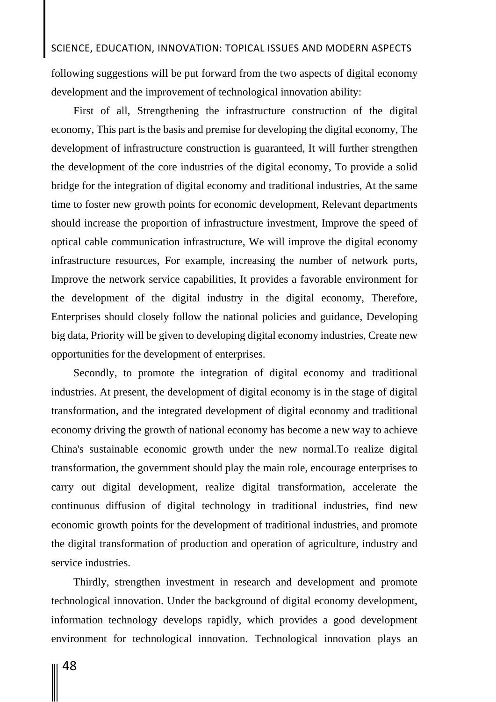## SCIENCE, EDUCATION, INNOVATION: TOPICAL ISSUES AND MODERN ASPECTS

following suggestions will be put forward from the two aspects of digital economy development and the improvement of technological innovation ability:

First of all, Strengthening the infrastructure construction of the digital economy, This part is the basis and premise for developing the digital economy, The development of infrastructure construction is guaranteed, It will further strengthen the development of the core industries of the digital economy, To provide a solid bridge for the integration of digital economy and traditional industries, At the same time to foster new growth points for economic development, Relevant departments should increase the proportion of infrastructure investment, Improve the speed of optical cable communication infrastructure, We will improve the digital economy infrastructure resources, For example, increasing the number of network ports, Improve the network service capabilities, It provides a favorable environment for the development of the digital industry in the digital economy, Therefore, Enterprises should closely follow the national policies and guidance, Developing big data, Priority will be given to developing digital economy industries, Create new opportunities for the development of enterprises.

Secondly, to promote the integration of digital economy and traditional industries. At present, the development of digital economy is in the stage of digital transformation, and the integrated development of digital economy and traditional economy driving the growth of national economy has become a new way to achieve China's sustainable economic growth under the new normal.To realize digital transformation, the government should play the main role, encourage enterprises to carry out digital development, realize digital transformation, accelerate the continuous diffusion of digital technology in traditional industries, find new economic growth points for the development of traditional industries, and promote the digital transformation of production and operation of agriculture, industry and service industries.

Thirdly, strengthen investment in research and development and promote technological innovation. Under the background of digital economy development, information technology develops rapidly, which provides a good development environment for technological innovation. Technological innovation plays an